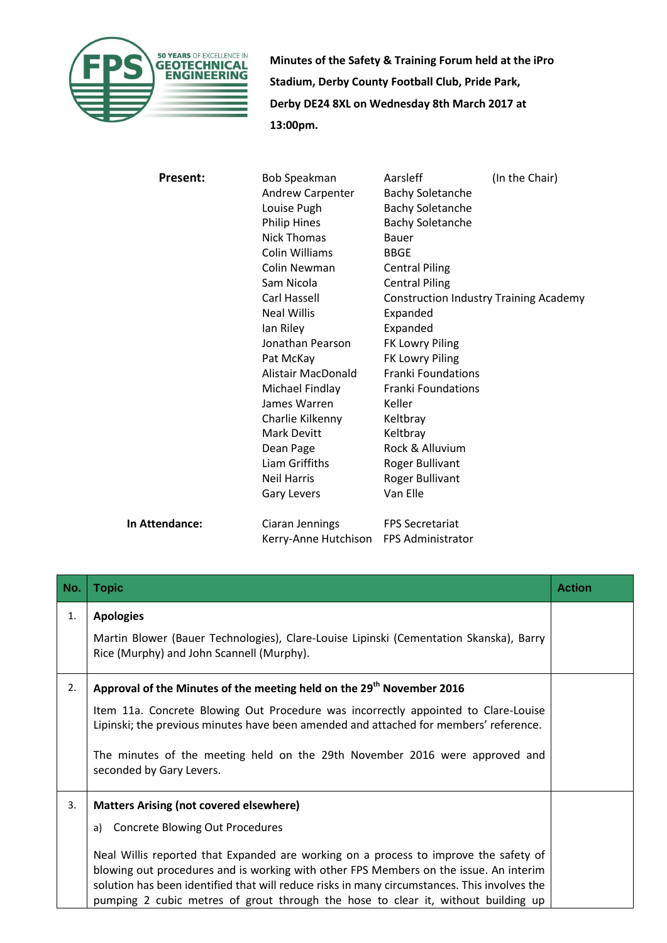

**Minutes of the Safety & Training Forum held at the iPro Stadium, Derby County Football Club, Pride Park, Derby DE24 8XL on Wednesday 8th March 2017 at 13:00pm.**

| <b>Present:</b>       | <b>Bob Speakman</b>   | Aarsleff                  | (In the Chair)                                |
|-----------------------|-----------------------|---------------------------|-----------------------------------------------|
|                       | Andrew Carpenter      | <b>Bachy Soletanche</b>   |                                               |
|                       | Louise Pugh           | <b>Bachy Soletanche</b>   |                                               |
|                       | <b>Philip Hines</b>   | <b>Bachy Soletanche</b>   |                                               |
|                       | Nick Thomas           | Bauer                     |                                               |
|                       | <b>Colin Williams</b> | <b>BBGE</b>               |                                               |
|                       | Colin Newman          | <b>Central Piling</b>     |                                               |
|                       | Sam Nicola            | <b>Central Piling</b>     |                                               |
|                       | Carl Hassell          |                           | <b>Construction Industry Training Academy</b> |
|                       | <b>Neal Willis</b>    | Expanded                  |                                               |
|                       | lan Riley             | Expanded                  |                                               |
|                       | Jonathan Pearson      | FK Lowry Piling           |                                               |
|                       | Pat McKay             | FK Lowry Piling           |                                               |
|                       | Alistair MacDonald    | <b>Franki Foundations</b> |                                               |
|                       | Michael Findlay       | Franki Foundations        |                                               |
|                       | James Warren          | Keller                    |                                               |
|                       | Charlie Kilkenny      | Keltbray                  |                                               |
|                       | <b>Mark Devitt</b>    | Keltbray                  |                                               |
|                       | Dean Page             | Rock & Alluvium           |                                               |
|                       | Liam Griffiths        | <b>Roger Bullivant</b>    |                                               |
|                       | <b>Neil Harris</b>    | <b>Roger Bullivant</b>    |                                               |
|                       | <b>Gary Levers</b>    | Van Elle                  |                                               |
| <b>In Attendance:</b> | Ciaran Jennings       | <b>FPS Secretariat</b>    |                                               |
|                       | Kerry-Anne Hutchison  | <b>FPS Administrator</b>  |                                               |

| No. | <b>Topic</b>                                                                                                                                                                                                                                                                                                                                                       | <b>Action</b> |
|-----|--------------------------------------------------------------------------------------------------------------------------------------------------------------------------------------------------------------------------------------------------------------------------------------------------------------------------------------------------------------------|---------------|
| 1.  | <b>Apologies</b>                                                                                                                                                                                                                                                                                                                                                   |               |
|     | Martin Blower (Bauer Technologies), Clare-Louise Lipinski (Cementation Skanska), Barry<br>Rice (Murphy) and John Scannell (Murphy).                                                                                                                                                                                                                                |               |
| 2.  | Approval of the Minutes of the meeting held on the 29 <sup>th</sup> November 2016                                                                                                                                                                                                                                                                                  |               |
|     | Item 11a. Concrete Blowing Out Procedure was incorrectly appointed to Clare-Louise<br>Lipinski; the previous minutes have been amended and attached for members' reference.                                                                                                                                                                                        |               |
|     | The minutes of the meeting held on the 29th November 2016 were approved and<br>seconded by Gary Levers.                                                                                                                                                                                                                                                            |               |
| 3.  | <b>Matters Arising (not covered elsewhere)</b>                                                                                                                                                                                                                                                                                                                     |               |
|     | <b>Concrete Blowing Out Procedures</b><br>a)                                                                                                                                                                                                                                                                                                                       |               |
|     | Neal Willis reported that Expanded are working on a process to improve the safety of<br>blowing out procedures and is working with other FPS Members on the issue. An interim<br>solution has been identified that will reduce risks in many circumstances. This involves the<br>pumping 2 cubic metres of grout through the hose to clear it, without building up |               |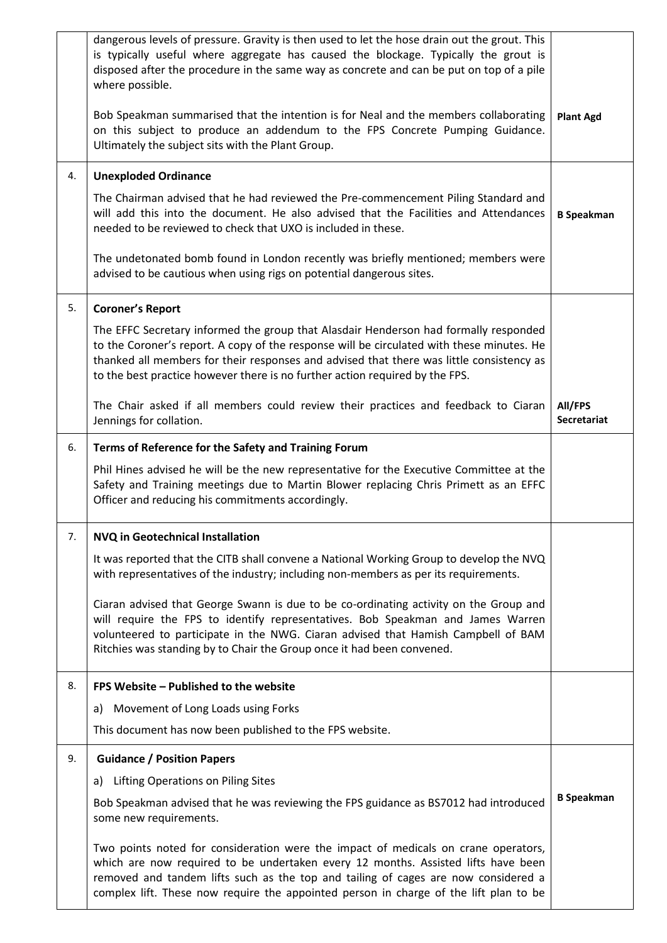|    | dangerous levels of pressure. Gravity is then used to let the hose drain out the grout. This<br>is typically useful where aggregate has caused the blockage. Typically the grout is<br>disposed after the procedure in the same way as concrete and can be put on top of a pile<br>where possible.<br>Bob Speakman summarised that the intention is for Neal and the members collaborating<br>on this subject to produce an addendum to the FPS Concrete Pumping Guidance.<br>Ultimately the subject sits with the Plant Group. | <b>Plant Agd</b>              |
|----|---------------------------------------------------------------------------------------------------------------------------------------------------------------------------------------------------------------------------------------------------------------------------------------------------------------------------------------------------------------------------------------------------------------------------------------------------------------------------------------------------------------------------------|-------------------------------|
| 4. | <b>Unexploded Ordinance</b>                                                                                                                                                                                                                                                                                                                                                                                                                                                                                                     |                               |
|    | The Chairman advised that he had reviewed the Pre-commencement Piling Standard and<br>will add this into the document. He also advised that the Facilities and Attendances<br>needed to be reviewed to check that UXO is included in these.                                                                                                                                                                                                                                                                                     | <b>B</b> Speakman             |
|    | The undetonated bomb found in London recently was briefly mentioned; members were<br>advised to be cautious when using rigs on potential dangerous sites.                                                                                                                                                                                                                                                                                                                                                                       |                               |
| 5. | <b>Coroner's Report</b>                                                                                                                                                                                                                                                                                                                                                                                                                                                                                                         |                               |
|    | The EFFC Secretary informed the group that Alasdair Henderson had formally responded<br>to the Coroner's report. A copy of the response will be circulated with these minutes. He<br>thanked all members for their responses and advised that there was little consistency as<br>to the best practice however there is no further action required by the FPS.                                                                                                                                                                   |                               |
|    | The Chair asked if all members could review their practices and feedback to Ciaran<br>Jennings for collation.                                                                                                                                                                                                                                                                                                                                                                                                                   | All/FPS<br><b>Secretariat</b> |
| 6. | Terms of Reference for the Safety and Training Forum                                                                                                                                                                                                                                                                                                                                                                                                                                                                            |                               |
|    | Phil Hines advised he will be the new representative for the Executive Committee at the<br>Safety and Training meetings due to Martin Blower replacing Chris Primett as an EFFC<br>Officer and reducing his commitments accordingly.                                                                                                                                                                                                                                                                                            |                               |
| 7. | NVQ in Geotechnical Installation                                                                                                                                                                                                                                                                                                                                                                                                                                                                                                |                               |
|    | It was reported that the CITB shall convene a National Working Group to develop the NVQ<br>with representatives of the industry; including non-members as per its requirements.                                                                                                                                                                                                                                                                                                                                                 |                               |
|    | Ciaran advised that George Swann is due to be co-ordinating activity on the Group and<br>will require the FPS to identify representatives. Bob Speakman and James Warren<br>volunteered to participate in the NWG. Ciaran advised that Hamish Campbell of BAM<br>Ritchies was standing by to Chair the Group once it had been convened.                                                                                                                                                                                         |                               |
| 8. | FPS Website - Published to the website                                                                                                                                                                                                                                                                                                                                                                                                                                                                                          |                               |
|    | Movement of Long Loads using Forks<br>a)                                                                                                                                                                                                                                                                                                                                                                                                                                                                                        |                               |
|    | This document has now been published to the FPS website.                                                                                                                                                                                                                                                                                                                                                                                                                                                                        |                               |
| 9. | <b>Guidance / Position Papers</b>                                                                                                                                                                                                                                                                                                                                                                                                                                                                                               |                               |
|    | Lifting Operations on Piling Sites<br>a)                                                                                                                                                                                                                                                                                                                                                                                                                                                                                        |                               |
|    | Bob Speakman advised that he was reviewing the FPS guidance as BS7012 had introduced<br>some new requirements.                                                                                                                                                                                                                                                                                                                                                                                                                  | <b>B</b> Speakman             |
|    | Two points noted for consideration were the impact of medicals on crane operators,<br>which are now required to be undertaken every 12 months. Assisted lifts have been<br>removed and tandem lifts such as the top and tailing of cages are now considered a<br>complex lift. These now require the appointed person in charge of the lift plan to be                                                                                                                                                                          |                               |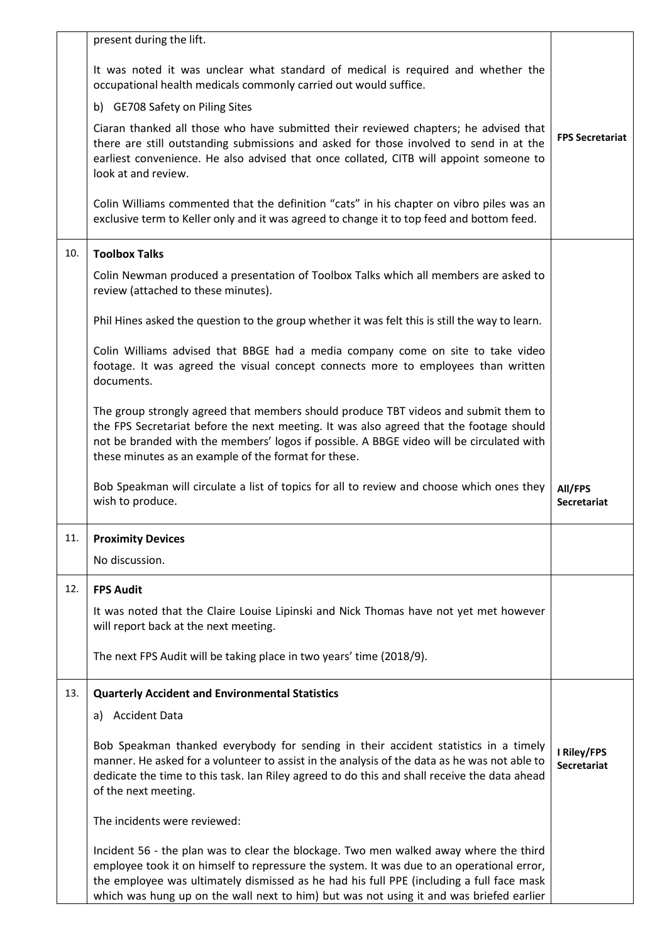|     | present during the lift.                                                                                                                                                                                                                                                                                                                                                  |                                   |
|-----|---------------------------------------------------------------------------------------------------------------------------------------------------------------------------------------------------------------------------------------------------------------------------------------------------------------------------------------------------------------------------|-----------------------------------|
|     | It was noted it was unclear what standard of medical is required and whether the<br>occupational health medicals commonly carried out would suffice.                                                                                                                                                                                                                      |                                   |
|     | b) GE708 Safety on Piling Sites                                                                                                                                                                                                                                                                                                                                           |                                   |
|     | Ciaran thanked all those who have submitted their reviewed chapters; he advised that<br>there are still outstanding submissions and asked for those involved to send in at the<br>earliest convenience. He also advised that once collated, CITB will appoint someone to<br>look at and review.                                                                           | <b>FPS Secretariat</b>            |
|     | Colin Williams commented that the definition "cats" in his chapter on vibro piles was an<br>exclusive term to Keller only and it was agreed to change it to top feed and bottom feed.                                                                                                                                                                                     |                                   |
| 10. | <b>Toolbox Talks</b>                                                                                                                                                                                                                                                                                                                                                      |                                   |
|     | Colin Newman produced a presentation of Toolbox Talks which all members are asked to<br>review (attached to these minutes).                                                                                                                                                                                                                                               |                                   |
|     | Phil Hines asked the question to the group whether it was felt this is still the way to learn.                                                                                                                                                                                                                                                                            |                                   |
|     | Colin Williams advised that BBGE had a media company come on site to take video<br>footage. It was agreed the visual concept connects more to employees than written<br>documents.                                                                                                                                                                                        |                                   |
|     | The group strongly agreed that members should produce TBT videos and submit them to<br>the FPS Secretariat before the next meeting. It was also agreed that the footage should<br>not be branded with the members' logos if possible. A BBGE video will be circulated with<br>these minutes as an example of the format for these.                                        |                                   |
|     | Bob Speakman will circulate a list of topics for all to review and choose which ones they<br>wish to produce.                                                                                                                                                                                                                                                             | All/FPS<br><b>Secretariat</b>     |
| 11. | <b>Proximity Devices</b>                                                                                                                                                                                                                                                                                                                                                  |                                   |
|     | No discussion.                                                                                                                                                                                                                                                                                                                                                            |                                   |
| 12. | <b>FPS Audit</b>                                                                                                                                                                                                                                                                                                                                                          |                                   |
|     | It was noted that the Claire Louise Lipinski and Nick Thomas have not yet met however<br>will report back at the next meeting.                                                                                                                                                                                                                                            |                                   |
|     | The next FPS Audit will be taking place in two years' time (2018/9).                                                                                                                                                                                                                                                                                                      |                                   |
| 13. | <b>Quarterly Accident and Environmental Statistics</b>                                                                                                                                                                                                                                                                                                                    |                                   |
|     | a) Accident Data                                                                                                                                                                                                                                                                                                                                                          |                                   |
|     | Bob Speakman thanked everybody for sending in their accident statistics in a timely<br>manner. He asked for a volunteer to assist in the analysis of the data as he was not able to<br>dedicate the time to this task. Ian Riley agreed to do this and shall receive the data ahead<br>of the next meeting.                                                               | I Riley/FPS<br><b>Secretariat</b> |
|     | The incidents were reviewed:                                                                                                                                                                                                                                                                                                                                              |                                   |
|     | Incident 56 - the plan was to clear the blockage. Two men walked away where the third<br>employee took it on himself to repressure the system. It was due to an operational error,<br>the employee was ultimately dismissed as he had his full PPE (including a full face mask<br>which was hung up on the wall next to him) but was not using it and was briefed earlier |                                   |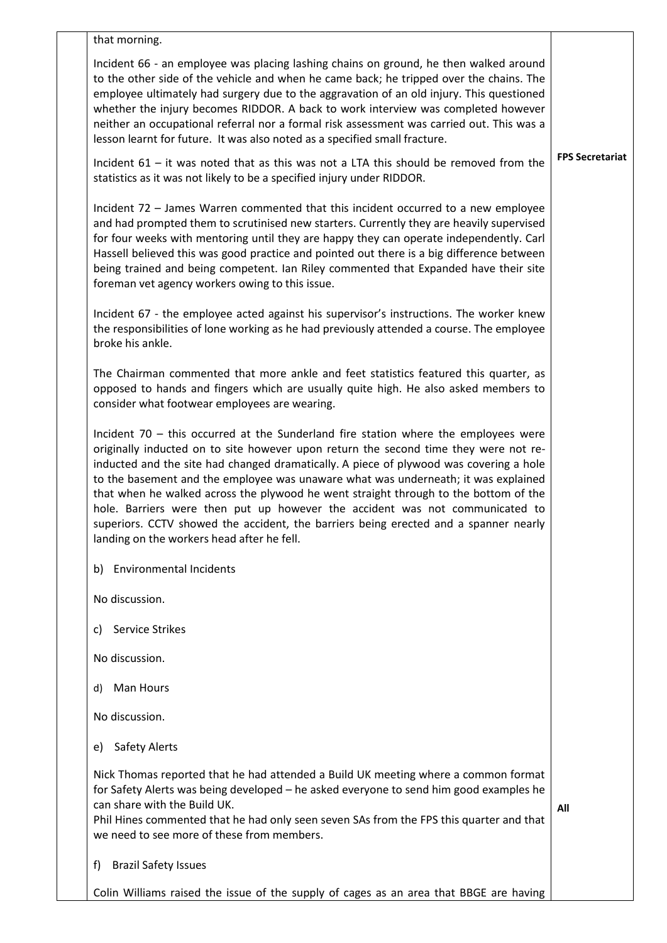| that morning.                                                                                                                                                                                                                                                                                                                                                                                                                                                                                                                                                                                                                                                               |                        |
|-----------------------------------------------------------------------------------------------------------------------------------------------------------------------------------------------------------------------------------------------------------------------------------------------------------------------------------------------------------------------------------------------------------------------------------------------------------------------------------------------------------------------------------------------------------------------------------------------------------------------------------------------------------------------------|------------------------|
| Incident 66 - an employee was placing lashing chains on ground, he then walked around<br>to the other side of the vehicle and when he came back; he tripped over the chains. The<br>employee ultimately had surgery due to the aggravation of an old injury. This questioned<br>whether the injury becomes RIDDOR. A back to work interview was completed however<br>neither an occupational referral nor a formal risk assessment was carried out. This was a<br>lesson learnt for future. It was also noted as a specified small fracture.                                                                                                                                |                        |
| Incident $61 -$ it was noted that as this was not a LTA this should be removed from the<br>statistics as it was not likely to be a specified injury under RIDDOR.                                                                                                                                                                                                                                                                                                                                                                                                                                                                                                           | <b>FPS Secretariat</b> |
| Incident 72 - James Warren commented that this incident occurred to a new employee<br>and had prompted them to scrutinised new starters. Currently they are heavily supervised<br>for four weeks with mentoring until they are happy they can operate independently. Carl<br>Hassell believed this was good practice and pointed out there is a big difference between<br>being trained and being competent. Ian Riley commented that Expanded have their site<br>foreman vet agency workers owing to this issue.                                                                                                                                                           |                        |
| Incident 67 - the employee acted against his supervisor's instructions. The worker knew<br>the responsibilities of lone working as he had previously attended a course. The employee<br>broke his ankle.                                                                                                                                                                                                                                                                                                                                                                                                                                                                    |                        |
| The Chairman commented that more ankle and feet statistics featured this quarter, as<br>opposed to hands and fingers which are usually quite high. He also asked members to<br>consider what footwear employees are wearing.                                                                                                                                                                                                                                                                                                                                                                                                                                                |                        |
| Incident $70$ – this occurred at the Sunderland fire station where the employees were<br>originally inducted on to site however upon return the second time they were not re-<br>inducted and the site had changed dramatically. A piece of plywood was covering a hole<br>to the basement and the employee was unaware what was underneath; it was explained<br>that when he walked across the plywood he went straight through to the bottom of the<br>hole. Barriers were then put up however the accident was not communicated to<br>superiors. CCTV showed the accident, the barriers being erected and a spanner nearly<br>landing on the workers head after he fell. |                        |
| <b>Environmental Incidents</b><br>b)                                                                                                                                                                                                                                                                                                                                                                                                                                                                                                                                                                                                                                        |                        |
| No discussion.                                                                                                                                                                                                                                                                                                                                                                                                                                                                                                                                                                                                                                                              |                        |
| <b>Service Strikes</b><br>C)                                                                                                                                                                                                                                                                                                                                                                                                                                                                                                                                                                                                                                                |                        |
| No discussion.                                                                                                                                                                                                                                                                                                                                                                                                                                                                                                                                                                                                                                                              |                        |
| Man Hours<br>d)                                                                                                                                                                                                                                                                                                                                                                                                                                                                                                                                                                                                                                                             |                        |
| No discussion.                                                                                                                                                                                                                                                                                                                                                                                                                                                                                                                                                                                                                                                              |                        |
| <b>Safety Alerts</b><br>e)                                                                                                                                                                                                                                                                                                                                                                                                                                                                                                                                                                                                                                                  |                        |
| Nick Thomas reported that he had attended a Build UK meeting where a common format<br>for Safety Alerts was being developed - he asked everyone to send him good examples he<br>can share with the Build UK.<br>Phil Hines commented that he had only seen seven SAs from the FPS this quarter and that<br>we need to see more of these from members.                                                                                                                                                                                                                                                                                                                       | All                    |
| <b>Brazil Safety Issues</b><br>f)                                                                                                                                                                                                                                                                                                                                                                                                                                                                                                                                                                                                                                           |                        |
| Colin Williams raised the issue of the supply of cages as an area that BBGE are having                                                                                                                                                                                                                                                                                                                                                                                                                                                                                                                                                                                      |                        |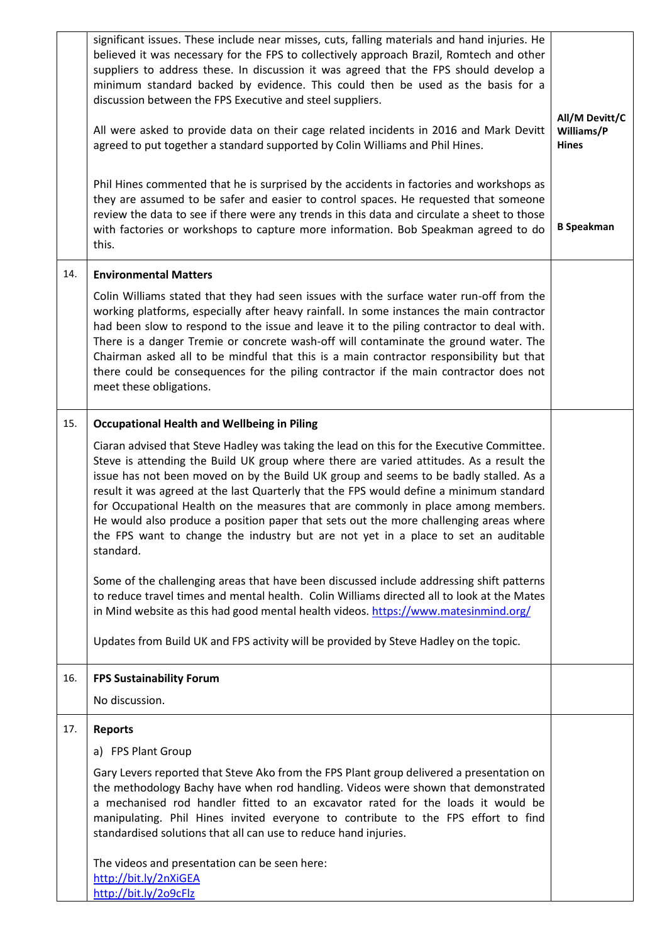|     | significant issues. These include near misses, cuts, falling materials and hand injuries. He<br>believed it was necessary for the FPS to collectively approach Brazil, Romtech and other<br>suppliers to address these. In discussion it was agreed that the FPS should develop a<br>minimum standard backed by evidence. This could then be used as the basis for a<br>discussion between the FPS Executive and steel suppliers.<br>All were asked to provide data on their cage related incidents in 2016 and Mark Devitt<br>agreed to put together a standard supported by Colin Williams and Phil Hines.<br>Phil Hines commented that he is surprised by the accidents in factories and workshops as<br>they are assumed to be safer and easier to control spaces. He requested that someone<br>review the data to see if there were any trends in this data and circulate a sheet to those<br>with factories or workshops to capture more information. Bob Speakman agreed to do<br>this. | All/M Devitt/C<br>Williams/P<br><b>Hines</b><br><b>B</b> Speakman |
|-----|------------------------------------------------------------------------------------------------------------------------------------------------------------------------------------------------------------------------------------------------------------------------------------------------------------------------------------------------------------------------------------------------------------------------------------------------------------------------------------------------------------------------------------------------------------------------------------------------------------------------------------------------------------------------------------------------------------------------------------------------------------------------------------------------------------------------------------------------------------------------------------------------------------------------------------------------------------------------------------------------|-------------------------------------------------------------------|
| 14. | <b>Environmental Matters</b>                                                                                                                                                                                                                                                                                                                                                                                                                                                                                                                                                                                                                                                                                                                                                                                                                                                                                                                                                                   |                                                                   |
|     | Colin Williams stated that they had seen issues with the surface water run-off from the<br>working platforms, especially after heavy rainfall. In some instances the main contractor<br>had been slow to respond to the issue and leave it to the piling contractor to deal with.<br>There is a danger Tremie or concrete wash-off will contaminate the ground water. The<br>Chairman asked all to be mindful that this is a main contractor responsibility but that<br>there could be consequences for the piling contractor if the main contractor does not<br>meet these obligations.                                                                                                                                                                                                                                                                                                                                                                                                       |                                                                   |
| 15. | <b>Occupational Health and Wellbeing in Piling</b>                                                                                                                                                                                                                                                                                                                                                                                                                                                                                                                                                                                                                                                                                                                                                                                                                                                                                                                                             |                                                                   |
|     | Ciaran advised that Steve Hadley was taking the lead on this for the Executive Committee.<br>Steve is attending the Build UK group where there are varied attitudes. As a result the<br>issue has not been moved on by the Build UK group and seems to be badly stalled. As a<br>result it was agreed at the last Quarterly that the FPS would define a minimum standard<br>for Occupational Health on the measures that are commonly in place among members.<br>He would also produce a position paper that sets out the more challenging areas where<br>the FPS want to change the industry but are not yet in a place to set an auditable<br>standard.                                                                                                                                                                                                                                                                                                                                      |                                                                   |
|     | Some of the challenging areas that have been discussed include addressing shift patterns<br>to reduce travel times and mental health. Colin Williams directed all to look at the Mates<br>in Mind website as this had good mental health videos. https://www.matesinmind.org/                                                                                                                                                                                                                                                                                                                                                                                                                                                                                                                                                                                                                                                                                                                  |                                                                   |
|     | Updates from Build UK and FPS activity will be provided by Steve Hadley on the topic.                                                                                                                                                                                                                                                                                                                                                                                                                                                                                                                                                                                                                                                                                                                                                                                                                                                                                                          |                                                                   |
| 16. | <b>FPS Sustainability Forum</b>                                                                                                                                                                                                                                                                                                                                                                                                                                                                                                                                                                                                                                                                                                                                                                                                                                                                                                                                                                |                                                                   |
|     | No discussion.                                                                                                                                                                                                                                                                                                                                                                                                                                                                                                                                                                                                                                                                                                                                                                                                                                                                                                                                                                                 |                                                                   |
| 17. | <b>Reports</b>                                                                                                                                                                                                                                                                                                                                                                                                                                                                                                                                                                                                                                                                                                                                                                                                                                                                                                                                                                                 |                                                                   |
|     | a) FPS Plant Group                                                                                                                                                                                                                                                                                                                                                                                                                                                                                                                                                                                                                                                                                                                                                                                                                                                                                                                                                                             |                                                                   |
|     | Gary Levers reported that Steve Ako from the FPS Plant group delivered a presentation on<br>the methodology Bachy have when rod handling. Videos were shown that demonstrated<br>a mechanised rod handler fitted to an excavator rated for the loads it would be<br>manipulating. Phil Hines invited everyone to contribute to the FPS effort to find<br>standardised solutions that all can use to reduce hand injuries.                                                                                                                                                                                                                                                                                                                                                                                                                                                                                                                                                                      |                                                                   |
|     | The videos and presentation can be seen here:<br>http://bit.ly/2nXiGEA<br>http://bit.ly/209cFlz                                                                                                                                                                                                                                                                                                                                                                                                                                                                                                                                                                                                                                                                                                                                                                                                                                                                                                |                                                                   |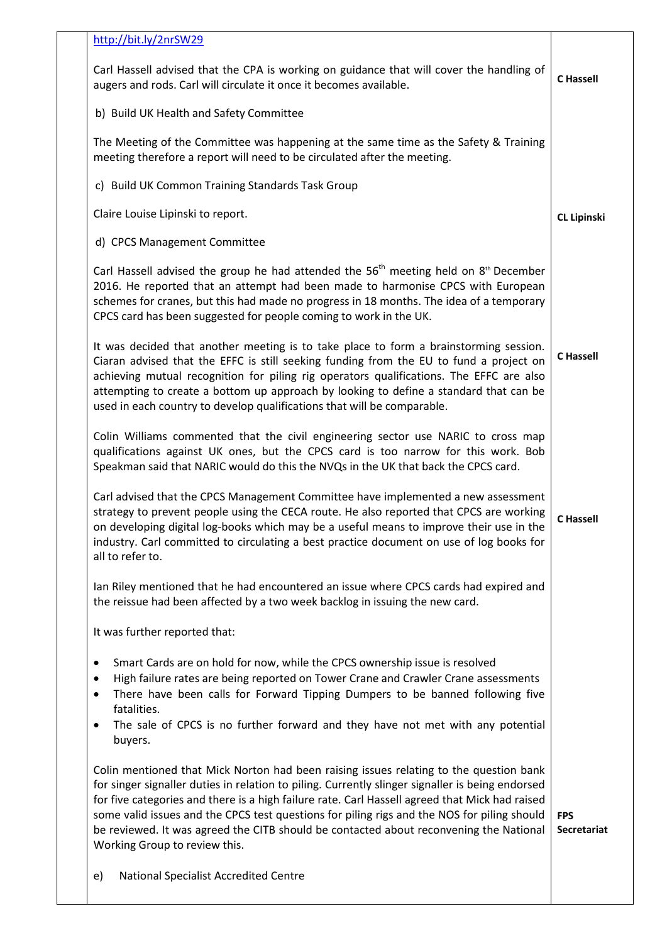| http://bit.ly/2nrSW29                                                                                                                                                                                                                                                                                                                                                                                                                                                                                                  |                                  |
|------------------------------------------------------------------------------------------------------------------------------------------------------------------------------------------------------------------------------------------------------------------------------------------------------------------------------------------------------------------------------------------------------------------------------------------------------------------------------------------------------------------------|----------------------------------|
| Carl Hassell advised that the CPA is working on guidance that will cover the handling of<br>augers and rods. Carl will circulate it once it becomes available.                                                                                                                                                                                                                                                                                                                                                         | <b>C</b> Hassell                 |
| b) Build UK Health and Safety Committee                                                                                                                                                                                                                                                                                                                                                                                                                                                                                |                                  |
| The Meeting of the Committee was happening at the same time as the Safety & Training<br>meeting therefore a report will need to be circulated after the meeting.                                                                                                                                                                                                                                                                                                                                                       |                                  |
| c) Build UK Common Training Standards Task Group                                                                                                                                                                                                                                                                                                                                                                                                                                                                       |                                  |
| Claire Louise Lipinski to report.                                                                                                                                                                                                                                                                                                                                                                                                                                                                                      | <b>CL Lipinski</b>               |
| d) CPCS Management Committee                                                                                                                                                                                                                                                                                                                                                                                                                                                                                           |                                  |
| Carl Hassell advised the group he had attended the $56th$ meeting held on $8th$ December<br>2016. He reported that an attempt had been made to harmonise CPCS with European<br>schemes for cranes, but this had made no progress in 18 months. The idea of a temporary<br>CPCS card has been suggested for people coming to work in the UK.                                                                                                                                                                            |                                  |
| It was decided that another meeting is to take place to form a brainstorming session.<br>Ciaran advised that the EFFC is still seeking funding from the EU to fund a project on<br>achieving mutual recognition for piling rig operators qualifications. The EFFC are also<br>attempting to create a bottom up approach by looking to define a standard that can be<br>used in each country to develop qualifications that will be comparable.                                                                         | <b>C</b> Hassell                 |
| Colin Williams commented that the civil engineering sector use NARIC to cross map<br>qualifications against UK ones, but the CPCS card is too narrow for this work. Bob<br>Speakman said that NARIC would do this the NVQs in the UK that back the CPCS card.                                                                                                                                                                                                                                                          |                                  |
| Carl advised that the CPCS Management Committee have implemented a new assessment<br>strategy to prevent people using the CECA route. He also reported that CPCS are working<br>on developing digital log-books which may be a useful means to improve their use in the<br>industry. Carl committed to circulating a best practice document on use of log books for<br>all to refer to.                                                                                                                                | <b>C</b> Hassell                 |
| Ian Riley mentioned that he had encountered an issue where CPCS cards had expired and<br>the reissue had been affected by a two week backlog in issuing the new card.                                                                                                                                                                                                                                                                                                                                                  |                                  |
| It was further reported that:                                                                                                                                                                                                                                                                                                                                                                                                                                                                                          |                                  |
| Smart Cards are on hold for now, while the CPCS ownership issue is resolved<br>٠<br>High failure rates are being reported on Tower Crane and Crawler Crane assessments<br>٠<br>There have been calls for Forward Tipping Dumpers to be banned following five<br>٠<br>fatalities.<br>The sale of CPCS is no further forward and they have not met with any potential<br>buyers.                                                                                                                                         |                                  |
| Colin mentioned that Mick Norton had been raising issues relating to the question bank<br>for singer signaller duties in relation to piling. Currently slinger signaller is being endorsed<br>for five categories and there is a high failure rate. Carl Hassell agreed that Mick had raised<br>some valid issues and the CPCS test questions for piling rigs and the NOS for piling should<br>be reviewed. It was agreed the CITB should be contacted about reconvening the National<br>Working Group to review this. | <b>FPS</b><br><b>Secretariat</b> |
| <b>National Specialist Accredited Centre</b><br>e)                                                                                                                                                                                                                                                                                                                                                                                                                                                                     |                                  |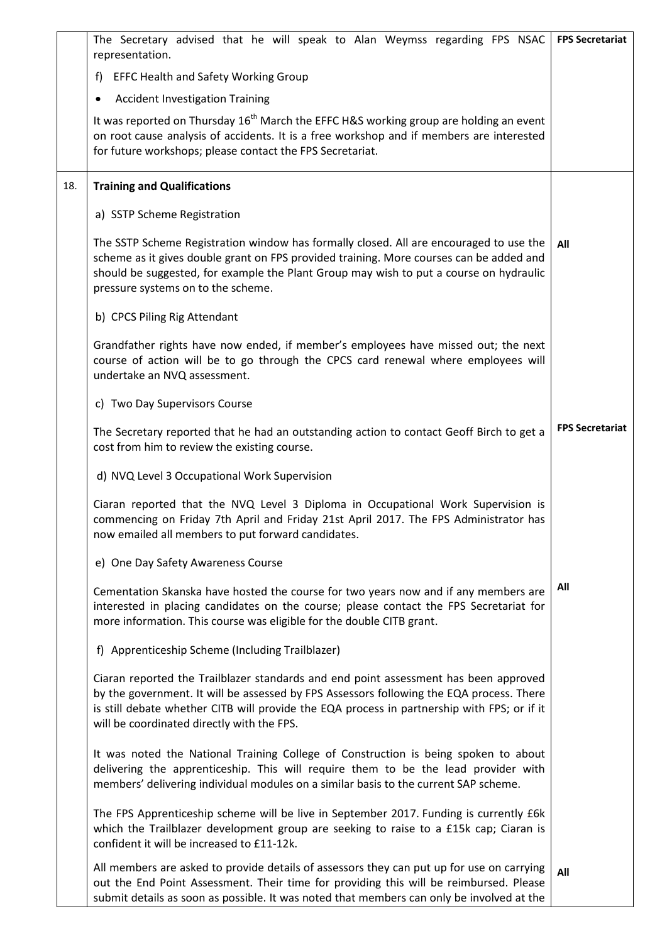|     | The Secretary advised that he will speak to Alan Weymss regarding FPS NSAC                                                                                                                                                                                                                                                    | <b>FPS Secretariat</b> |
|-----|-------------------------------------------------------------------------------------------------------------------------------------------------------------------------------------------------------------------------------------------------------------------------------------------------------------------------------|------------------------|
|     | representation.                                                                                                                                                                                                                                                                                                               |                        |
|     | <b>EFFC Health and Safety Working Group</b><br>f)                                                                                                                                                                                                                                                                             |                        |
|     | <b>Accident Investigation Training</b><br>$\bullet$<br>It was reported on Thursday 16 <sup>th</sup> March the EFFC H&S working group are holding an event                                                                                                                                                                     |                        |
|     | on root cause analysis of accidents. It is a free workshop and if members are interested<br>for future workshops; please contact the FPS Secretariat.                                                                                                                                                                         |                        |
| 18. | <b>Training and Qualifications</b>                                                                                                                                                                                                                                                                                            |                        |
|     | a) SSTP Scheme Registration                                                                                                                                                                                                                                                                                                   |                        |
|     | The SSTP Scheme Registration window has formally closed. All are encouraged to use the<br>scheme as it gives double grant on FPS provided training. More courses can be added and<br>should be suggested, for example the Plant Group may wish to put a course on hydraulic<br>pressure systems on to the scheme.             | All                    |
|     | b) CPCS Piling Rig Attendant                                                                                                                                                                                                                                                                                                  |                        |
|     | Grandfather rights have now ended, if member's employees have missed out; the next<br>course of action will be to go through the CPCS card renewal where employees will<br>undertake an NVQ assessment.                                                                                                                       |                        |
|     | c) Two Day Supervisors Course                                                                                                                                                                                                                                                                                                 |                        |
|     | The Secretary reported that he had an outstanding action to contact Geoff Birch to get a<br>cost from him to review the existing course.                                                                                                                                                                                      | <b>FPS Secretariat</b> |
|     | d) NVQ Level 3 Occupational Work Supervision                                                                                                                                                                                                                                                                                  |                        |
|     | Ciaran reported that the NVQ Level 3 Diploma in Occupational Work Supervision is<br>commencing on Friday 7th April and Friday 21st April 2017. The FPS Administrator has<br>now emailed all members to put forward candidates.                                                                                                |                        |
|     | e) One Day Safety Awareness Course                                                                                                                                                                                                                                                                                            |                        |
|     | Cementation Skanska have hosted the course for two years now and if any members are<br>interested in placing candidates on the course; please contact the FPS Secretariat for<br>more information. This course was eligible for the double CITB grant.                                                                        | All                    |
|     | f) Apprenticeship Scheme (Including Trailblazer)                                                                                                                                                                                                                                                                              |                        |
|     | Ciaran reported the Trailblazer standards and end point assessment has been approved<br>by the government. It will be assessed by FPS Assessors following the EQA process. There<br>is still debate whether CITB will provide the EQA process in partnership with FPS; or if it<br>will be coordinated directly with the FPS. |                        |
|     | It was noted the National Training College of Construction is being spoken to about<br>delivering the apprenticeship. This will require them to be the lead provider with<br>members' delivering individual modules on a similar basis to the current SAP scheme.                                                             |                        |
|     | The FPS Apprenticeship scheme will be live in September 2017. Funding is currently £6k<br>which the Trailblazer development group are seeking to raise to a £15k cap; Ciaran is<br>confident it will be increased to £11-12k.                                                                                                 |                        |
|     | All members are asked to provide details of assessors they can put up for use on carrying<br>out the End Point Assessment. Their time for providing this will be reimbursed. Please<br>submit details as soon as possible. It was noted that members can only be involved at the                                              | All                    |